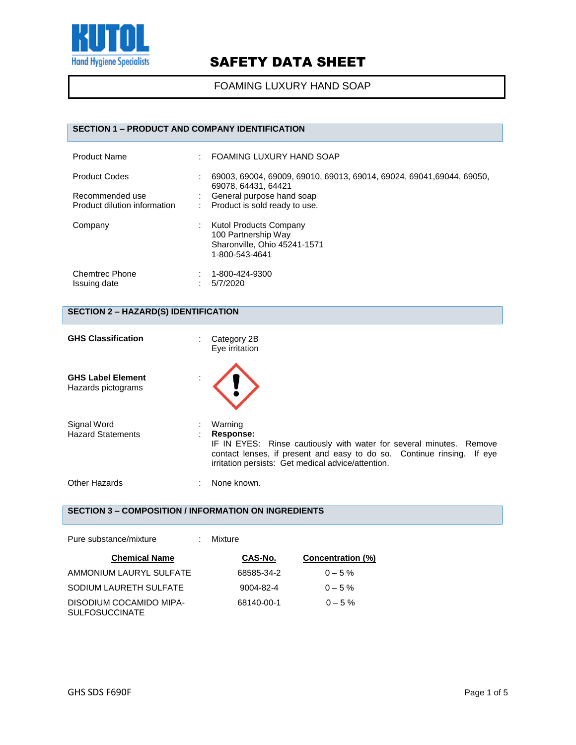

FOAMING LUXURY HAND SOAP

## **SECTION 1 – PRODUCT AND COMPANY IDENTIFICATION**

| <b>Product Name</b>                                                     | ٠ | FOAMING LUXURY HAND SOAP                                                                                                                                   |
|-------------------------------------------------------------------------|---|------------------------------------------------------------------------------------------------------------------------------------------------------------|
| <b>Product Codes</b><br>Recommended use<br>Product dilution information | ٠ | 69003, 69004, 69009, 69010, 69013, 69014, 69024, 69041, 69044, 69050,<br>69078, 64431, 64421<br>General purpose hand soap<br>Product is sold ready to use. |
| Company                                                                 | ÷ | <b>Kutol Products Company</b><br>100 Partnership Way<br>Sharonville, Ohio 45241-1571<br>1-800-543-4641                                                     |
| <b>Chemtrec Phone</b><br>Issuing date                                   |   | 1-800-424-9300<br>5/7/2020                                                                                                                                 |

## **SECTION 2 – HAZARD(S) IDENTIFICATION**

| <b>GHS Classification</b>                      | Category 2B<br>Eye irritation                                                                                                                                                                                               |
|------------------------------------------------|-----------------------------------------------------------------------------------------------------------------------------------------------------------------------------------------------------------------------------|
| <b>GHS Label Element</b><br>Hazards pictograms |                                                                                                                                                                                                                             |
| Signal Word<br><b>Hazard Statements</b>        | Warning<br>Response:<br>IF IN EYES: Rinse cautiously with water for several minutes. Remove<br>contact lenses, if present and easy to do so. Continue rinsing. If eye<br>irritation persists: Get medical advice/attention. |
| Other Hazards                                  | None known.                                                                                                                                                                                                                 |

## **SECTION 3 – COMPOSITION / INFORMATION ON INGREDIENTS**

| Pure substance/mixture                           | Mixture    |                          |
|--------------------------------------------------|------------|--------------------------|
| <b>Chemical Name</b>                             | CAS-No.    | <b>Concentration (%)</b> |
| AMMONIUM LAURYL SULFATE                          | 68585-34-2 | $0 - 5\%$                |
| SODIUM LAURETH SULFATE                           | 9004-82-4  | $0 - 5\%$                |
| DISODIUM COCAMIDO MIPA-<br><b>SULFOSUCCINATE</b> | 68140-00-1 | $0 - 5\%$                |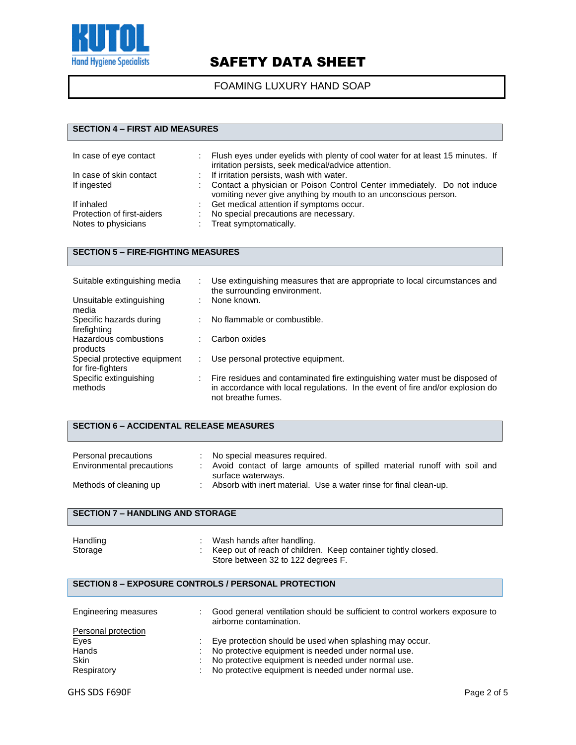

## FOAMING LUXURY HAND SOAP

### **SECTION 4 – FIRST AID MEASURES**

| In case of eye contact     | Flush eyes under eyelids with plenty of cool water for at least 15 minutes. If<br>irritation persists, seek medical/advice attention.      |
|----------------------------|--------------------------------------------------------------------------------------------------------------------------------------------|
| In case of skin contact    | : If irritation persists, wash with water.                                                                                                 |
| If ingested                | Contact a physician or Poison Control Center immediately. Do not induce<br>vomiting never give anything by mouth to an unconscious person. |
| If inhaled                 | Get medical attention if symptoms occur.                                                                                                   |
| Protection of first-aiders | No special precautions are necessary.                                                                                                      |
| Notes to physicians        | Treat symptomatically.                                                                                                                     |

#### **SECTION 5 – FIRE-FIGHTING MEASURES**

| Suitable extinguishing media                      |   | Use extinguishing measures that are appropriate to local circumstances and<br>the surrounding environment.                                                                          |
|---------------------------------------------------|---|-------------------------------------------------------------------------------------------------------------------------------------------------------------------------------------|
| Unsuitable extinguishing<br>media                 | ÷ | None known.                                                                                                                                                                         |
| Specific hazards during<br>firefighting           |   | No flammable or combustible.                                                                                                                                                        |
| Hazardous combustions<br>products                 |   | Carbon oxides                                                                                                                                                                       |
| Special protective equipment<br>for fire-fighters |   | Use personal protective equipment.                                                                                                                                                  |
| Specific extinguishing<br>methods                 |   | Fire residues and contaminated fire extinguishing water must be disposed of<br>in accordance with local regulations. In the event of fire and/or explosion do<br>not breathe fumes. |

#### **SECTION 6 – ACCIDENTAL RELEASE MEASURES**

| Personal precautions<br>Environmental precautions | No special measures required.<br>Avoid contact of large amounts of spilled material runoff with soil and<br>surface waterways. |
|---------------------------------------------------|--------------------------------------------------------------------------------------------------------------------------------|
| Methods of cleaning up                            | Absorb with inert material. Use a water rinse for final clean-up.                                                              |

## **SECTION 7 – HANDLING AND STORAGE**

| Handling | Wash hands after handling.                                    |
|----------|---------------------------------------------------------------|
| Storage  | Keep out of reach of children. Keep container tightly closed. |
|          | Store between 32 to 122 degrees F.                            |

#### **SECTION 8 – EXPOSURE CONTROLS / PERSONAL PROTECTION**

| Engineering measures |                | Good general ventilation should be sufficient to control workers exposure to<br>airborne contamination. |
|----------------------|----------------|---------------------------------------------------------------------------------------------------------|
| Personal protection  |                |                                                                                                         |
| Eyes                 |                | Eye protection should be used when splashing may occur.                                                 |
| Hands                | $\mathbb{R}^n$ | No protective equipment is needed under normal use.                                                     |
| <b>Skin</b>          |                | No protective equipment is needed under normal use.                                                     |
| Respiratory          |                | : No protective equipment is needed under normal use.                                                   |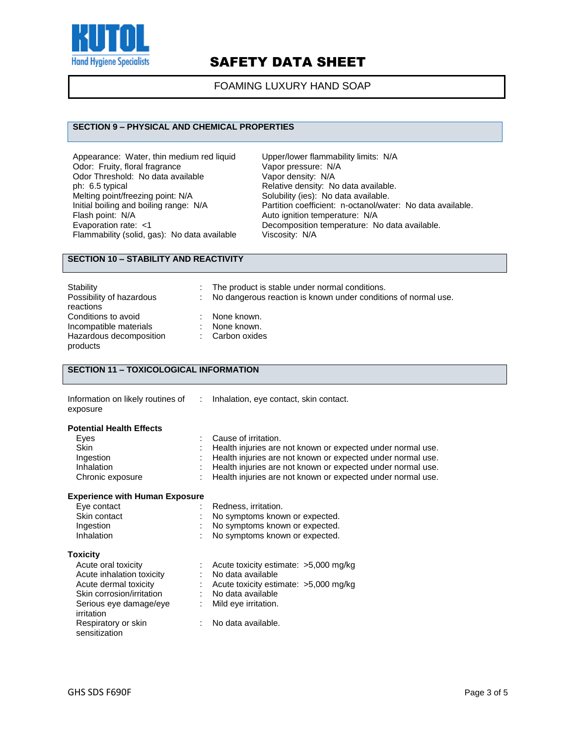

#### FOAMING LUXURY HAND SOAP

#### **SECTION 9 – PHYSICAL AND CHEMICAL PROPERTIES**

Appearance: Water, thin medium red liquid Upper/lower flammability limits: N/A<br>Odor: Fruity, floral fragrance Vapor pressure: N/A Odor: Fruity, floral fragrance Vapor pressure: N/<br>
Odor Threshold: No data available Vapor density: N/A Odor Threshold: No data available<br>ph: 6.5 typical Melting point/freezing point: N/A<br>Initial boiling and boiling range: N/A Flash point: N/A<br>
Evaporation rate: <1 Channel Composition temperature: N/A Flammability (solid, gas): No data available

Relative density: No data available.<br>Solubility (ies): No data available. Initial boiling and boiling range: N/A Partition coefficient: n-octanol/water: No data available.<br>Flash point: N/A Class and Auto ignition temperature: N/A Decomposition temperature: No data available.<br>Viscosity: N/A

### **SECTION 10 – STABILITY AND REACTIVITY**

| Stability                                                                            | The product is stable under normal conditions.                 |
|--------------------------------------------------------------------------------------|----------------------------------------------------------------|
| Possibility of hazardous<br>reactions                                                | No dangerous reaction is known under conditions of normal use. |
| Conditions to avoid<br>Incompatible materials<br>Hazardous decomposition<br>products | None known.<br>None known.<br>: Carbon oxides                  |

## **SECTION 11 – TOXICOLOGICAL INFORMATION**

|          | Information on likely routines of : Inhalation, eye contact, skin contact. |
|----------|----------------------------------------------------------------------------|
| exposure |                                                                            |
|          |                                                                            |

#### **Potential Health Effects**

| Eves             | : Cause of irritation.                                        |
|------------------|---------------------------------------------------------------|
| <b>Skin</b>      | Health injuries are not known or expected under normal use.   |
| Ingestion        | : Health injuries are not known or expected under normal use. |
| Inhalation       | : Health injuries are not known or expected under normal use. |
| Chronic exposure | Health injuries are not known or expected under normal use.   |

#### **Experience with Human Exposure**

| Eye contact       | : Redness, irritation.           |
|-------------------|----------------------------------|
| Skin contact      | : No symptoms known or expected. |
| Ingestion         | : No symptoms known or expected. |
| <b>Inhalation</b> | : No symptoms known or expected. |
|                   |                                  |

#### **Toxicity**

| Acute oral toxicity       | Acute toxicity estimate: >5,000 mg/kg |
|---------------------------|---------------------------------------|
| Acute inhalation toxicity | No data available                     |
| Acute dermal toxicity     | Acute toxicity estimate: >5,000 mg/kg |
| Skin corrosion/irritation | No data available                     |
| Serious eye damage/eye    | Mild eye irritation.                  |
| irritation                |                                       |
| Respiratory or skin       | No data available.                    |
| sensitization             |                                       |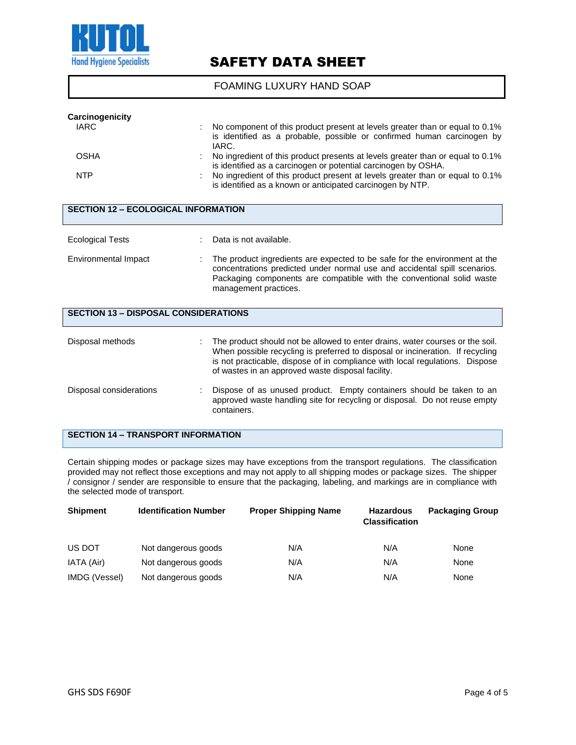

FOAMING LUXURY HAND SOAP

| Carcinogenicity<br><b>IARC</b>             |  | No component of this product present at levels greater than or equal to 0.1%<br>is identified as a probable, possible or confirmed human carcinogen by<br>IARC. |  |
|--------------------------------------------|--|-----------------------------------------------------------------------------------------------------------------------------------------------------------------|--|
| <b>OSHA</b>                                |  | No ingredient of this product presents at levels greater than or equal to 0.1%<br>is identified as a carcinogen or potential carcinogen by OSHA.                |  |
| <b>NTP</b>                                 |  | No ingredient of this product present at levels greater than or equal to 0.1%<br>is identified as a known or anticipated carcinogen by NTP.                     |  |
| <b>SECTION 12 - ECOLOGICAL INFORMATION</b> |  |                                                                                                                                                                 |  |

| <b>Ecological Tests</b>                     |  | Data is not available.                                                                                                                                                                                                                                                                               |
|---------------------------------------------|--|------------------------------------------------------------------------------------------------------------------------------------------------------------------------------------------------------------------------------------------------------------------------------------------------------|
| Environmental Impact                        |  | The product ingredients are expected to be safe for the environment at the<br>concentrations predicted under normal use and accidental spill scenarios.<br>Packaging components are compatible with the conventional solid waste<br>management practices.                                            |
| <b>SECTION 13 - DISPOSAL CONSIDERATIONS</b> |  |                                                                                                                                                                                                                                                                                                      |
| Disposal methods                            |  | The product should not be allowed to enter drains, water courses or the soil.<br>When possible recycling is preferred to disposal or incineration. If recycling<br>is not practicable, dispose of in compliance with local regulations. Dispose<br>of wastes in an approved waste disposal facility. |
|                                             |  |                                                                                                                                                                                                                                                                                                      |

#### Disposal considerations : Dispose of as unused product. Empty containers should be taken to an approved waste handling site for recycling or disposal. Do not reuse empty containers.

### **SECTION 14 – TRANSPORT INFORMATION**

Certain shipping modes or package sizes may have exceptions from the transport regulations. The classification provided may not reflect those exceptions and may not apply to all shipping modes or package sizes. The shipper / consignor / sender are responsible to ensure that the packaging, labeling, and markings are in compliance with the selected mode of transport.

| <b>Shipment</b> | <b>Identification Number</b> | <b>Proper Shipping Name</b> | <b>Hazardous</b><br><b>Classification</b> | <b>Packaging Group</b> |  |
|-----------------|------------------------------|-----------------------------|-------------------------------------------|------------------------|--|
| US DOT          | Not dangerous goods          | N/A                         | N/A                                       | None                   |  |
| IATA (Air)      | Not dangerous goods          | N/A                         | N/A                                       | None                   |  |
| IMDG (Vessel)   | Not dangerous goods          | N/A                         | N/A                                       | None                   |  |